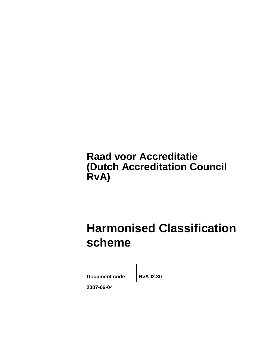# **Raad voor Accreditatie (Dutch Accreditation Council RvA)**

# **Harmonised Classification scheme**

**Document code: RvA-I2.30**

**2007-06-04**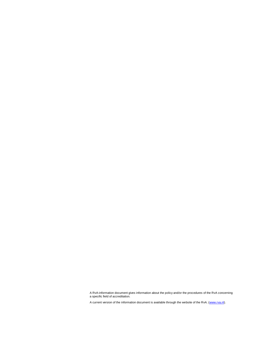A RvA-information document gives information about the policy and/or the procedures of the RvA concerning a specific field of accreditation.

A current version of the information document is available through the website of the RvA. ([www.rva.nl](http://www.rva.nl)).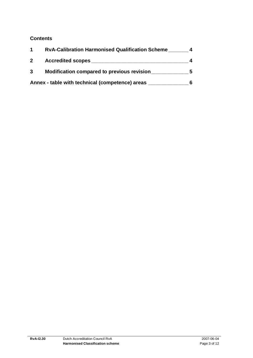### **Contents**

|              | <b>RvA-Calibration Harmonised Qualification Scheme</b> |  |
|--------------|--------------------------------------------------------|--|
| $\mathbf{2}$ | <b>Accredited scopes</b>                               |  |
| $\mathbf{3}$ | Modification compared to previous revision             |  |
|              | Annex - table with technical (competence) areas        |  |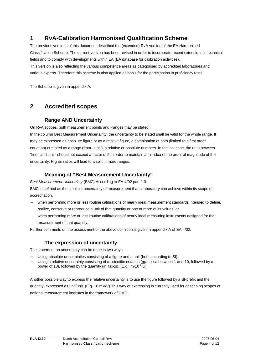# **1 RvA-Calibration Harmonised Qualification Scheme**

The previous versions of this document described the (extended) RvA version of the EA Harmonised Classification Scheme. The current version has been revised in order to incorporate recent extensions in technical fields and to comply with developments within EA (EA database for calibration activities). This version is also reflecting the various competence areas as categorised by accredited laboratories and various experts. Therefore this scheme is also applied as basis for the participation in proficiency tests.

The Scheme is given in appendix A.

## **2 Accredited scopes**

#### **Range AND Uncertainty**

On RvA scopes, both measurement points and -ranges may be stated.

In the column Best Measurement Uncertainty, the uncertainty to be stated shall be valid for the whole range. It may be expressed as absolute figure or as a relative figure, a combination of both (limited to a first order equation) or stated as a range (from - until) in relative or absolute numbers. In the last case, the ratio between 'from' and 'until' should not exceed a factor of 5 in order to maintain a fair idea of the order of magnitude of the uncertainty. Higher ratios will lead to a split in more ranges.

#### **Meaning of "Best Measurement Uncertainty"**

*Best Measurement Uncertainty* (BMC):According to EA-4/02 par. 1.3

BMC is defined as the smallest uncertainty of measurement that a laboratory can achieve within its scope of accreditation,

- when performing more or less routine calibrations of nearly ideal measurement standards intended to define, realize, conserve or reproduce a unit of that quantity or one or more of its values, or
- when performing more or less routine calibrations of nearly ideal measuring instruments designed for the measurement of that quantity.

Further comments on the assessment of the above definition is given in appendix A of EA-4/02.

#### **The expression of uncertainty**

The statement on uncertainty can be done in two ways:

- Using absolute uncertainties consisting of a figure and a unit (both according to SI);
- Using a relative uncertainty consisting of a scientific notation (mantissa between 1 and 10, followed by a power of 10), followed by the quantity (in italics). (E.g. m·10<sup>-p.</sup>U)

Another possible way to express the relative uncertainty is to use the figure followed by a SI-prefix and the quantity, expressed as unit/unit. (E.g. 10 mV/V) This way of expressing is currently used for describing scopes of national measurement institutes in the framework of CMC.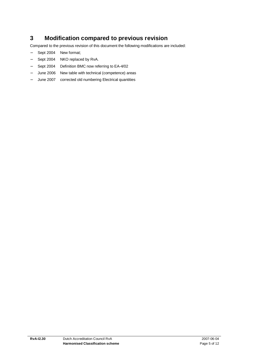# **3 Modification compared to previous revision**

Compared to the previous revision of this document the following modifications are included:

- − Sept 2004 New format;
- − Sept 2004 NKO replaced by RvA.
- − Sept 2004 Definition BMC now referring to EA-4/02
- June 2006 New table with technical (competence) areas
- June 2007 corrected old numbering Electrical quantities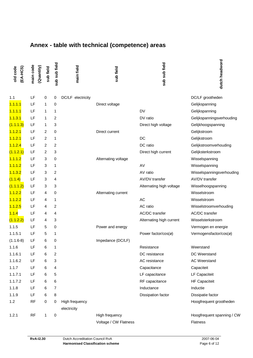# **Annex - table with technical (competence) areas**

| old code<br>(EA-HCS) | main code<br>(Quantity) | sub field      | sub sub field  | main field        | sub field             | sub sub field            | dutch headword             |
|----------------------|-------------------------|----------------|----------------|-------------------|-----------------------|--------------------------|----------------------------|
| 1.1                  | LF                      | 0              | 0              | DC/LF electricity |                       |                          | DC/LF grootheden           |
| 1.1.1.1              | LF                      | 1              | 0              |                   | Direct voltage        |                          | Gelijkspanning             |
| 1.1.1.1              | LF                      | 1              | 1              |                   |                       | <b>DV</b>                | Gelijkspanning             |
| 1.1.3.1              | LF                      | 1              | 2              |                   |                       | DV ratio                 | Gelijkspanningsverhouding  |
| (1.1.1.3)            | LF                      | 1              | 3              |                   |                       | Direct high voltage      | Gelijkhoogspanning         |
| 1.1.2.1              | LF                      | 2              | 0              |                   | Direct current        |                          | Gelijkstroom               |
| 1.1.2.1              | LF                      | $\overline{2}$ | 1              |                   |                       | DC                       | Gelijkstroom               |
| 1.1.2.4              | LF                      | 2              | 2              |                   |                       | DC ratio                 | Gelijkstroomverhouding     |
| (1.1.2.1)            | LF                      | 2              | 3              |                   |                       | Direct high current      | Gelijksterkstroom          |
| 1.1.1.2              | LF                      | 3              | 0              |                   | Alternating voltage   |                          | Wisselspanning             |
| 1.1.1.2              | LF                      | 3              | 1              |                   |                       | AV                       | Wisselspanning             |
| 1.1.3.2              | LF                      | 3              | 2              |                   |                       | AV ratio                 | Wisselspanningsverhouding  |
| (1.1.4)              | LF                      | 3              | 4              |                   |                       | AV/DV transfer           | AV/DV transfer             |
| (1.1.1.2)            | LF                      | 3              | 3              |                   |                       | Alternating high voltage | Wisselhoogspanning         |
| 1.1.2.2              | LF                      | 4              | 0              |                   | Alternating current   |                          | Wisselstroom               |
| 1.1.2.2              | LF                      | 4              | 1              |                   |                       | AC                       | Wisselstroom               |
| 1.1.2.5              | LF                      | 4              | 2              |                   |                       | AC ratio                 | Wisselstroomverhouding     |
| 1.1.4                | LF                      | 4              | 4              |                   |                       | AC/DC transfer           | AC/DC transfer             |
| (1.1.2.2)            | LF                      | 4              | 3              |                   |                       | Alternating high current | Wisselsterkstroom          |
| 1.1.5                | LF                      | 5              | 0              |                   | Power and energy      |                          | Vermogen en energie        |
| 1.1.5.1              | LF                      | 5              | 1              |                   |                       | Power factor/cos(ø)      | Vermogensfactor/cos(ø)     |
| $(1.1.6-8)$          | LF                      | 6              | 0              |                   | Impedance (DC/LF)     |                          |                            |
| 1.1.6                | LF                      | 6              | 1              |                   |                       | Resistance               | Weerstand                  |
| 1.1.6.1              | LF                      | 6              | 2              |                   |                       | DC resistance            | DC Weerstand               |
| 1.1.6.2              | LF                      | 6              | 3              |                   |                       | AC resistance            | <b>AC Weerstand</b>        |
| 1.1.7                | LF                      | 6              | 4              |                   |                       | Capacitance              | Capaciteit                 |
| 1.1.7.1              | LF                      | 6              | 5              |                   |                       | LF capacitance           | LF Capaciteit              |
| 1.1.7.2              | LF                      | 6              | 6              |                   |                       | RF capacitance           | <b>HF Capaciteit</b>       |
| 1.1.8                | LF                      | 6              | $\overline{7}$ |                   |                       | Inductance               | Inductie                   |
| 1.1.9                | LF                      | 6              | 8              |                   |                       | Dissipation factor       | Dissipatie factor          |
| 1.2                  | <b>RF</b>               | $\mathbf 0$    | 0              | High frequency    |                       |                          | Hoogfrequent grootheden    |
|                      |                         |                |                | electricity       |                       |                          |                            |
| 1.2.1                | <b>RF</b>               | 1              | 0              |                   | High frequency        |                          | Hoogfrequent spanning / CW |
|                      |                         |                |                |                   | Voltage / CW Flatness |                          | Flatness                   |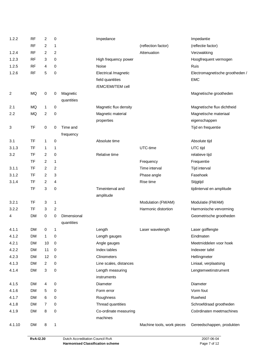| 1.2.2  | <b>RF</b> | 2              | 0              |             | Impedance              |                            | Impedantie                      |
|--------|-----------|----------------|----------------|-------------|------------------------|----------------------------|---------------------------------|
|        | <b>RF</b> | 2              | 1              |             |                        | (reflection factor)        | (reflectie factor)              |
| 1.2.4  | <b>RF</b> | $\overline{2}$ | $\overline{c}$ |             |                        | Attenuation                | Verzwakking                     |
| 1.2.3  | <b>RF</b> | 3              | 0              |             | High frequency power   |                            | Hoogfrequent vermogen           |
| 1.2.5  | <b>RF</b> | 4              | 0              |             | Noise                  |                            | Ruis                            |
| 1.2.6  | <b>RF</b> | 5              | 0              |             | Electrical /magnetic   |                            | Electromagnetische grootheden / |
|        |           |                |                |             | field quantities       |                            | <b>EMC</b>                      |
|        |           |                |                |             | /EMC/EMI/TEM cell      |                            |                                 |
| 2      | MQ        | 0              | 0              | Magnetic    |                        |                            | Magnetische grootheden          |
|        |           |                |                | quantities  |                        |                            |                                 |
| 2.1    | MQ        | 1              | 0              |             | Magnetic flux density  |                            | Magnetische flux dichtheid      |
| 2.2    | MQ        | $\overline{2}$ | 0              |             | Magnetic material      |                            | Magnetische materiaal           |
|        |           |                |                |             | properties             |                            | eigenschappen                   |
| 3      | <b>TF</b> | 0              | 0              | Time and    |                        |                            | Tijd en frequentie              |
|        |           |                |                | frequency   |                        |                            |                                 |
| 3.1    | TF        | 1              | 0              |             | Absolute time          |                            | Absolute tijd                   |
| 3.1.3  | TF        | 1              | 1              |             |                        | UTC-time                   | UTC tijd                        |
| 3.2    | TF        | 2              | 0              |             | Relative time          |                            | relatieve tijd                  |
|        | TF        | 2              | 1              |             |                        | Frequency                  | Frequentie                      |
| 3.1.1  | <b>TF</b> | 2              | 2              |             |                        | Time interval              | Tijd interval                   |
| 3.1.2  | <b>TF</b> | $\overline{2}$ | 3              |             |                        | Phase angle                | Fasehoek                        |
| 3.1.4  | TF        | 2              | 4              |             |                        | Rise time                  | Stijgtijd                       |
|        | TF        | 3              | 0              |             | Timeinterval and       |                            | tijdinterval en amplitude       |
|        |           |                |                |             | amplitude              |                            |                                 |
| 3.2.1  | TF        | 3              | 1              |             |                        | Modulation (FM/AM)         | Modulatie (FM/AM)               |
| 3.2.2  | TF        | 3              | 2              |             |                        | Harmonic distortion        | Harmonische vervorming          |
| 4      | <b>DM</b> | 0              | 0              | Dimensional |                        |                            | Geometrische grootheden         |
|        |           |                |                | quantities  |                        |                            |                                 |
| 4.1.1  | <b>DM</b> | 0              | 1              |             | Length                 | Laser wavelength           | Laser golflengte                |
| 4.1.2  | <b>DM</b> | 1              | 0              |             | Length gauges          |                            | Eindmaten                       |
| 4.2.1  | <b>DM</b> | 10             | 0              |             | Angle gauges           |                            | Meetmiddelen voor hoek          |
| 4.2.2  | DM        | 11             | 0              |             | Index tables           |                            | Indexeer tafel                  |
| 4.2.3  | <b>DM</b> | 12             | 0              |             | Clinometers            |                            | Hellingmeter                    |
| 4.1.3  | <b>DM</b> | 2              | 0              |             | Line scales, distances |                            | Liniaal, verplaatsing           |
| 4.1.4  | <b>DM</b> | 3              | 0              |             | Length measuring       |                            | Lengtemeetinstrument            |
|        |           |                |                |             | instruments            |                            |                                 |
| 4.1.5  | <b>DM</b> | 4              | 0              |             | Diameter               |                            | Diameter                        |
| 4.1.6  | <b>DM</b> | 5              | 0              |             | Form error             |                            | Vorm fout                       |
| 4.1.7  | DM        | 6              | 0              |             | Roughness              |                            | Ruwheid                         |
| 4.1.8  | <b>DM</b> | $\overline{7}$ | 0              |             | Thread quantities      |                            | Schroefdraad grootheden         |
| 4.1.9  | <b>DM</b> | 8              | 0              |             | Co-ordinate measuring  |                            | Coördinaten meetmachines        |
|        |           |                |                |             | machines               |                            |                                 |
| 4.1.10 | <b>DM</b> | $\bf 8$        | 1              |             |                        | Machine tools, work pieces | Gereedschappen, produkten       |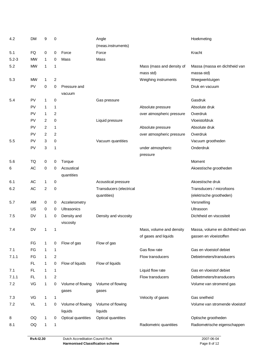| 4.2       | <b>DM</b> | 9              | 0              |                    | Angle                   |                           | Hoekmeting                     |
|-----------|-----------|----------------|----------------|--------------------|-------------------------|---------------------------|--------------------------------|
|           |           |                |                |                    | (meas.instruments)      |                           |                                |
| 5.1       | FQ        | 0              | 0              | Force              | Force                   |                           | Kracht                         |
| $5.2 - 3$ | <b>MW</b> | 1              | 0              | Mass               | Mass                    |                           |                                |
| 5.2       | <b>MW</b> | 1              | 1              |                    |                         | Mass (mass and density of | Massa (massa en dichtheid van  |
|           |           |                |                |                    |                         | mass std)                 | massa-std)                     |
| 5.3       | <b>MW</b> | 1              | $\overline{2}$ |                    |                         | Weighing instruments      | Weegwerktuigen                 |
|           | PV        | 0              | 0              | Pressure and       |                         |                           | Druk en vacuum                 |
|           |           |                |                | vacuum             |                         |                           |                                |
| 5.4       | PV        | 1              | 0              |                    | Gas pressure            |                           | Gasdruk                        |
|           | PV        | 1              | $\mathbf 1$    |                    |                         | Absolute pressure         | Absolute druk                  |
|           | PV        | 1              | 2              |                    |                         | over atmospheric pressure | Overdruk                       |
|           | PV        | $\overline{2}$ | 0              |                    | Liquid pressure         |                           | Vloeistofdruk                  |
|           | PV        | $\overline{2}$ | $\mathbf{1}$   |                    |                         | Absolute pressure         | Absolute druk                  |
|           | PV        | 2              | 2              |                    |                         | over atmospheric pressure | Overdruk                       |
| 5.5       | PV        | 3              | 0              |                    | Vacuum quantities       |                           | Vacuum grootheden              |
|           | PV        | 3              | 1              |                    |                         | under atmospheric         | Onderdruk                      |
|           |           |                |                |                    |                         | pressure                  |                                |
| 5.6       | TQ        | 0              | 0              | Torque             |                         |                           | Moment                         |
| 6         | AC        | 0              | 0              | Acoustical         |                         |                           | Akoestische grootheden         |
|           |           |                |                | quantities         |                         |                           |                                |
| 6.1       | AC        | 1              | 0              |                    | Acoustical pressure     |                           | Akoestische druk               |
| 6.2       | <b>AC</b> | $\overline{2}$ | 0              |                    | Transducers (electrical |                           | Transducers / microfoons       |
|           |           |                |                |                    | quantities)             |                           | (elektrische grootheden)       |
| 5.7       | AM        | 0              | 0              | Accelerometry      |                         |                           | Versnelling                    |
|           | US        | 0              | 0              | Ultrasonics        |                         |                           | Ultrasoon                      |
| 7.5       | <b>DV</b> | 1              | 0              | Density and        | Density and viscosity   |                           | Dichtheid en viscositeit       |
|           |           |                |                | viscosity          |                         |                           |                                |
| 7.4       | <b>DV</b> | 1              | 1              |                    |                         | Mass, volume and density  | Massa, volume en dichtheid van |
|           |           |                |                |                    |                         | of gases and liquids      | gassen en vloeistoffen         |
|           | FG        | 1              | 0              | Flow of gas        | Flow of gas             |                           |                                |
| 7.1       | FG        | 1              | 1              |                    |                         | Gas flow rate             | Gas en vloeistof debiet        |
| 7.1.1     | FG        | 1              | 2              |                    |                         | Flow transducers          | Debietmeters/transducers       |
|           | FL.       | 1              | 0              | Flow of liquids    | Flow of liquids         |                           |                                |
| 7.1       | FL.       | 1              | 1              |                    |                         | Liquid flow rate          | Gas en vloeistof debiet        |
| 7.1.1     | FL.       | 1              | $\overline{2}$ |                    |                         | Flow transducers          | Debietmeters/transducers       |
| 7.2       | VG        | 1              | 0              | Volume of flowing  | Volume of flowing       |                           | Volume van stromend gas        |
|           |           |                |                | gases              | gases                   |                           |                                |
| 7.3       | VG        | 1              | 1              |                    |                         | Velocity of gases         | Gas snelheid                   |
| 7.2       | VL        | 1              | 0              | Volume of flowing  | Volume of flowing       |                           | Volume van stromende vloeistof |
|           |           |                |                | liquids            | liquids                 |                           |                                |
| 8         | OQ        | 1              | 0              | Optical quantities | Optical quantities      |                           | Optische grootheden            |
| 8.1       | OQ        | 1              | 1              |                    |                         | Radiometric quantities    | Radiometrische eigenschappen   |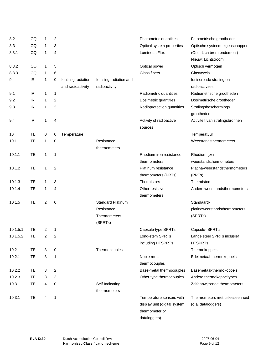| 8.2      | OQ        | 1              | 2              |                    |                          | Photometric quantities       | Fotometrische grootheden        |
|----------|-----------|----------------|----------------|--------------------|--------------------------|------------------------------|---------------------------------|
| 8.3      | OQ        | 1              | 3              |                    |                          | Optical system properties    | Optische systeem eigenschappen  |
| 8.3.1    | OQ        | 1              | 4              |                    |                          | Luminous Flux                | (Oud: Lichtbron rendement)      |
|          |           |                |                |                    |                          |                              | Nieuw: Lichtstroom              |
| 8.3.2    | OQ        | 1              | 5              |                    |                          | Optical power                | Optisch vermogen                |
| 8.3.3    | OQ        | 1              | 6              |                    |                          | Glass fibers                 | Glasvezels                      |
| 9        | IR        | 1              | 0              | Ionising radiation | lonising radiation and   |                              | Ioniserende straling en         |
|          |           |                |                | and radioactivity  | radioactivity            |                              | radioactiviteit                 |
| 9.1      | IR.       | 1              | $\overline{1}$ |                    |                          | Radiometric quantities       | Radiometrische grootheden       |
| 9.2      | IR.       | 1              | 2              |                    |                          | Dosimetric quantities        | Dosimetrische grootheden        |
| 9.3      | IR.       | 1              | 3              |                    |                          | Radioprotection quantities   | Stralingsbeschermings           |
|          |           |                |                |                    |                          |                              | grootheden                      |
| 9.4      | IR.       | 1              | 4              |                    |                          | Activity of radioactive      | Activiteit van stralingsbronnen |
|          |           |                |                |                    |                          | sources                      |                                 |
| 10       | TE        | 0              | 0              | Temperature        |                          |                              | Temperatuur                     |
| 10.1     | TE        | 1              | 0              |                    | Resistance               |                              | Weerstandsthermometers          |
|          |           |                |                |                    | thermometers             |                              |                                 |
| 10.1.1   | TE        | 1              | 1              |                    |                          | Rhodium-iron resistance      | Rhodium-ijzer                   |
|          |           |                |                |                    |                          | thermometers                 | weerstandsthermometers          |
| 10.1.2   | TE        | 1              | 2              |                    |                          | Platinum resistance          | Platina-weerstandsthermometers  |
|          |           |                |                |                    |                          | thermometers (PRTs)          | (PRTs)                          |
| 10.1.3   | <b>TE</b> | 1              | 3              |                    |                          | Thermistors                  | Thermistors                     |
| 10.1.4   | TE        | 1              | 4              |                    |                          | Other resistive              | Andere weerstandsthermometers   |
|          |           |                |                |                    |                          | thermometers                 |                                 |
| 10.1.5   | TE        | $\overline{c}$ | 0              |                    | <b>Standard Platinum</b> |                              | Standaard-                      |
|          |           |                |                |                    | Resistance               |                              | platinaweerstandsthermometers   |
|          |           |                |                |                    | Thermometers             |                              | (SPRTs)                         |
|          |           |                |                |                    | (SPRTs)                  |                              |                                 |
| 10.1.5.1 | TЕ        | 2              | 1              |                    |                          | Capsule-type SPRTs           | Capsule-SPRT's                  |
| 10.1.5.2 | TE        | 2              | 2              |                    |                          | Long-stem SPRTs              | Lange steel SPRTs inclusief     |
|          |           |                |                |                    |                          | including HTSPRTs            | <b>HTSPRTs</b>                  |
| 10.2     | TЕ        | 3              | 0              |                    | Thermocouples            |                              | Thermokoppels                   |
| 10.2.1   | TE        | 3              | 1              |                    |                          | Noble-metal                  | Edelmetaal-thermokoppels        |
|          |           |                |                |                    |                          | thermocouples                |                                 |
| 10.2.2   | TЕ        | 3              | $\overline{2}$ |                    |                          | Base-metal thermocouples     | Basemetaal-thermokoppels        |
| 10.2.3   | TE        | 3              | 3              |                    |                          | Other type thermocouples     | Andere thermokoppeltypes        |
| 10.3     | TE        | 4              | 0              |                    | Self Indicating          |                              | Zelfaanwijzende thermometers    |
|          |           |                |                |                    | thermometers             |                              |                                 |
| 10.3.1   | TE        | 4              | 1              |                    |                          | Temperature sensors with     | Thermometers met uitleeseenheid |
|          |           |                |                |                    |                          | display unit (digital system | (o.a. dataloggers)              |
|          |           |                |                |                    |                          | thermometer or               |                                 |
|          |           |                |                |                    |                          | dataloggers)                 |                                 |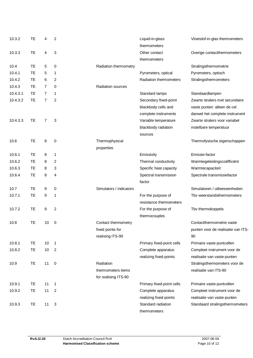| 10.3.2   | TЕ  | 4              | 2                       |                          | Liquid-in-glass           | Vloeistof-in-glas thermometers     |
|----------|-----|----------------|-------------------------|--------------------------|---------------------------|------------------------------------|
|          |     |                |                         |                          | thermometers              |                                    |
| 10.3.3   | TE. | 4              | 3                       |                          | Other contact             | Overige contactthermometers        |
|          |     |                |                         |                          | thermometers              |                                    |
| 10.4     | TE. | 5              | 0                       | Radiation thermometry    |                           | Stralingsthermometrie              |
| 10.4.1   | TЕ  | 5              | 1                       |                          | Pyrometers, optical       | Pyrometers, optisch                |
| 10.4.2   | TE  | 6              | 2                       |                          | Radiation thermometers    | Stralingsthermometers              |
| 10.4.3   | TE. | $\overline{7}$ | 0                       | <b>Radiation sources</b> |                           |                                    |
| 10.4.3.1 | TE. | 7              | 1                       |                          | Standard lamps            | Standaardlampen                    |
| 10.4.3.2 | TE  | 7              | $\overline{2}$          |                          | Secondary fixed-point     | Zwarte stralers met secundaire     |
|          |     |                |                         |                          | blackbody cells and       |                                    |
|          |     |                |                         |                          |                           | vaste punten: alleen de cel        |
|          |     |                |                         |                          | complete instruments      | danwel het complete instrument     |
| 10.4.3.3 | TE  | 7              | 3                       |                          | Variable temperature      | Zwarte stralers voor variabel      |
|          |     |                |                         |                          | blackbody radiation       | instelbare temperatuur             |
|          |     |                |                         |                          | sources                   |                                    |
| 10.6     | TE  | 8              | 0                       | Thermophysical           |                           | Thermofysische eigenschappen       |
|          |     |                |                         | properties               |                           |                                    |
| 10.6.1   | TE. | 8              | 1                       |                          | Emissivity                | Emissie-factor                     |
| 10.6.2   | TE  | 8              | 2                       |                          | Thermal conductivity      | Warmtegeleidingscoëfficiënt        |
| 10.6.3   | TE. | 8              | 3                       |                          | Specific heat capacity    | Warmtecapaciteit                   |
| 10.6.4   | TE. | 8              | 4                       |                          | Spectral transmission     | Spectrale transmissiefactor        |
|          |     |                |                         |                          | factor                    |                                    |
| 10.7     | TE. | 9              | 0                       | Simulators / indicators  |                           | Simulatoren / uitleeseenheden      |
| 10.7.1   | TE. | 9              | 1                       |                          | For the purpose of        | Tby weerstandsthermometers         |
|          |     |                |                         |                          | resistance thermometers   |                                    |
| 10.7.2   | TE. | 9              | $\overline{\mathbf{c}}$ |                          | For the purpose of        | Tbv thermokoppels                  |
|          |     |                |                         |                          | thermocouples             |                                    |
| 10.8     | TЕ  | 10             | 0                       | Contact thermometry      |                           | Contactthermometrie vaste          |
|          |     |                |                         | fixed points for         |                           | punten voor de realisatie van ITS- |
|          |     |                |                         | realising ITS-90         |                           | 90                                 |
| 10.8.1   | TE. | 10             | $\mathbf{1}$            |                          | Primary fixed-point cells | Primaire vaste-puntcellen          |
| 10.8.2   | TE. | 10             | $\overline{2}$          |                          | Complete apparatus        | Compleet instrument voor de        |
|          |     |                |                         |                          | realizing fixed-points    | realisatie van vaste-punten        |
| 10.9     | TE  | 11             | 0                       | Radiation                |                           | Stralingsthermometers voor de      |
|          |     |                |                         | thermometers items       |                           | realisatie van ITS-90              |
|          |     |                |                         | for realising ITS-90     |                           |                                    |
| 10.9.1   | TE. | 11             | $\mathbf{1}$            |                          | Primary fixed-point cells | Primaire vaste-puntcellen          |
| 10.9.2   | TE. | 11             | 2                       |                          | Complete apparatus        | Compleet instrument voor de        |
|          |     |                |                         |                          | realizing fixed-points    | realisatie van vaste-punten        |
| 10.9.3   | TE  | 11             | $\mathbf{3}$            |                          | Standard radiation        | Standaard stralingsthermometers    |
|          |     |                |                         |                          | thermometers              |                                    |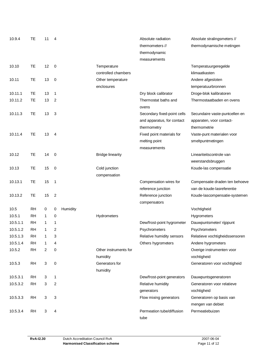| 10.9.4   | TE        | 11         | 4              |          |                         | Absolute radiation            | Absolute stralingsmeters //    |
|----------|-----------|------------|----------------|----------|-------------------------|-------------------------------|--------------------------------|
|          |           |            |                |          |                         | thermometers //               | thermodynamische metingen      |
|          |           |            |                |          |                         | thermodynamic                 |                                |
|          |           |            |                |          |                         | measurements                  |                                |
| 10.10    | TE        | 12         | 0              |          | Temperature             |                               | Temperatuurgeregelde           |
|          |           |            |                |          | controlled chambers     |                               | klimaatkasten                  |
| 10.11    | TE        | 13         | 0              |          | Other temperature       |                               | Andere afgesloten              |
|          |           |            |                |          | enclosures              |                               | temperatuurbronnen             |
| 10.11.1  | TE.       | 13         | 1              |          |                         | Dry block calibrator          | Droge-blok kalibratoren        |
| 10.11.2  | TE        | 13         | 2              |          |                         | Thermostat baths and<br>ovens | Thermostaatbaden en ovens      |
| 10.11.3  | TЕ        | 13         | 3              |          |                         | Secondary fixed-point cells   | Secundaire vaste-puntcellen en |
|          |           |            |                |          |                         | and apparatus, for contact    | apparaten, voor contact-       |
|          |           |            |                |          |                         | thermometry                   | thermometrie                   |
| 10.11.4  | TE        | 13         | 4              |          |                         | Fixed point materials for     | Vaste-punt materialen voor     |
|          |           |            |                |          |                         | melting point                 | smeltpuntmetingen              |
|          |           |            |                |          |                         | measurements                  |                                |
| 10.12    | TE        | 14         | 0              |          | <b>Bridge linearity</b> |                               | Lineariteitscontrole van       |
|          |           |            |                |          |                         |                               | weerstandsbruggen              |
| 10.13    | TE        | 15         | 0              |          | Cold junction           |                               | Koude-las compensatie          |
|          |           |            |                |          | compensation            |                               |                                |
| 10.13.1  | TE        | 15         | 1              |          |                         | Compensation wires for        | Compensatie draden ten behoeve |
|          |           |            |                |          |                         | reference junction            | van de koude-lasreferentie     |
| 10.13.2  | TE        | 15         | 2              |          |                         | Reference junction            | Koude-lascompensatie-systemen  |
|          |           |            |                |          |                         | compensators                  |                                |
| 10.5     | <b>RH</b> | 0          | 0              | Humidity |                         |                               | Vochtigheid                    |
| 10.5.1   | <b>RH</b> | 1          | 0              |          | Hydrometers             |                               | Hygrometers                    |
| 10.5.1.1 | <b>RH</b> | 1          | 1              |          |                         | Dew/frost-point hygrometer    | Dauwpuntsmeter/ rijppunt       |
| 10.5.1.2 | RH        | 1          | 2              |          |                         | Psychrometers                 | Psychrometers                  |
| 10.5.1.3 | <b>RH</b> | 1          | 3              |          |                         | Relative humidity sensors     | Relatieve vochtigheidssensoren |
| 10.5.1.4 | RH        | 1          | $\overline{4}$ |          |                         | Others hygrometers            | Andere hygrometers             |
| 10.5.2   | <b>RH</b> | 2          | 0              |          | Other instruments for   |                               | Overige instrumenten voor      |
|          |           |            |                |          | humidity                |                               | vochtigheid                    |
| 10.5.3   | <b>RH</b> | $\sqrt{3}$ | 0              |          | Generators for          |                               | Generatoren voor vochtigheid   |
|          |           |            |                |          | humidity                |                               |                                |
| 10.5.3.1 | RH        | 3          | 1              |          |                         | Dew/frost-point generators    | Dauwpuntsgeneratoren           |
| 10.5.3.2 | RH        | 3          | $\overline{2}$ |          |                         | Relative humidity             | Generatoren voor relatieve     |
|          |           |            |                |          |                         | generators                    | vochtigheid                    |
| 10.5.3.3 | <b>RH</b> | 3          | 3              |          |                         | Flow mixing generators        | Generatoren op basis van       |
|          |           |            |                |          |                         |                               | mengen van debiet              |
| 10.5.3.4 | RH        | 3          | 4              |          |                         | Permeation tube/diffusion     | Permeatiebuizen                |
|          |           |            |                |          |                         | tube                          |                                |